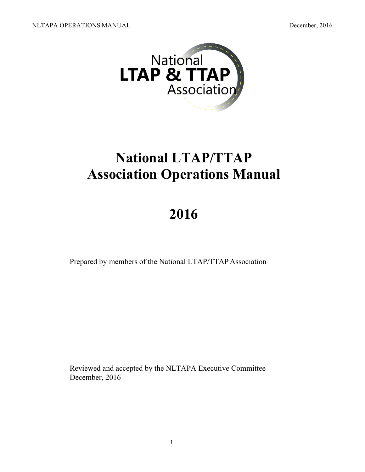

# **National LTAP/TTAP Association Operations Manual**

# **2016**

Prepared by members of the National LTAP/TTAP Association

Reviewed and accepted by the NLTAPA Executive Committee December, 2016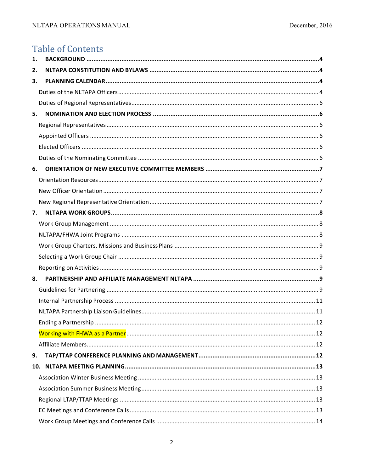## **Table of Contents**

| 1.  |    |
|-----|----|
| 2.  |    |
| 3.  |    |
|     |    |
|     |    |
| 5.  |    |
|     |    |
|     |    |
|     |    |
|     |    |
| 6.  |    |
|     |    |
|     |    |
|     |    |
| 7.  |    |
|     |    |
|     |    |
|     |    |
|     |    |
|     |    |
| 8.  |    |
|     |    |
|     |    |
|     |    |
|     | 12 |
|     |    |
|     |    |
| 9.  |    |
| 10. |    |
|     |    |
|     |    |
|     |    |
|     |    |
|     |    |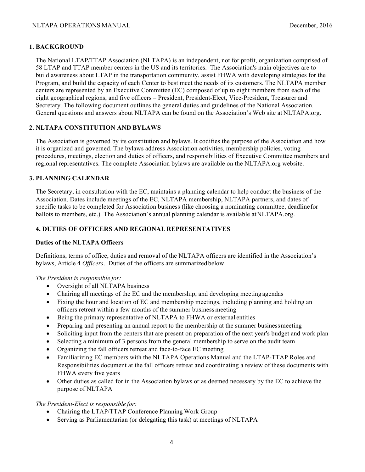#### **1. BACKGROUND**

The National LTAP/TTAP Association (NLTAPA) is an independent, not for profit, organization comprised of 58 LTAP and TTAP member centers in the US and its territories. The Association's main objectives are to build awareness about LTAP in the transportation community, assist FHWA with developing strategies for the Program, and build the capacity of each Center to best meet the needs of its customers. The NLTAPA member centers are represented by an Executive Committee (EC) composed of up to eight members from each of the eight geographical regions, and five officers – President, President-Elect, Vice-President, Treasurer and Secretary. The following document outlines the general duties and guidelines of the National Association. General questions and answers about NLTAPA can be found on the Association's Web site at NLTAPA.org.

#### **2. NLTAPA CONSTITUTION AND BYLAWS**

The Association is governed by its constitution and bylaws. It codifies the purpose of the Association and how it is organized and governed. The bylaws address Association activities, membership policies, voting procedures, meetings, election and duties of officers, and responsibilities of Executive Committee members and regional representatives. The complete Association bylaws are available on the NLTAPA.org website.

#### **3. PLANNING CALENDAR**

The Secretary, in consultation with the EC, maintains a planning calendar to help conduct the business of the Association. Dates include meetings of the EC, NLTAPA membership, NLTAPA partners, and dates of specific tasks to be completed for Association business (like choosing a nominating committee, deadlinefor ballots to members, etc.) The Association's annual planning calendar is available atNLTAPA.org.

#### **4. DUTIES OF OFFICERS AND REGIONAL REPRESENTATIVES**

#### **Duties of the NLTAPA Officers**

Definitions, terms of office, duties and removal of the NLTAPA officers are identified in the Association's bylaws, Article 4 *Officers*. Duties of the officers are summarized below.

#### *The President is responsible for:*

- Oversight of all NLTAPA business
- Chairing all meetings of the EC and the membership, and developing meeting agendas
- Fixing the hour and location of EC and membership meetings, including planning and holding an officers retreat within a few months of the summer businessmeeting
- Being the primary representative of NLTAPA to FHWA or external entities
- Preparing and presenting an annual report to the membership at the summer business meeting
- Soliciting input from the centers that are present on preparation of the next year's budget and work plan
- Selecting a minimum of 3 persons from the general membership to serve on the audit team
- Organizing the fall officers retreat and face-to-face EC meeting
- Familiarizing EC members with the NLTAPA Operations Manual and the LTAP-TTAP Roles and Responsibilities document at the fall officers retreat and coordinating a review of these documents with FHWA every five years
- Other duties as called for in the Association bylaws or as deemed necessary by the EC to achieve the purpose of NLTAPA

#### *The President-Elect is responsible for:*

- Chairing the LTAP/TTAP Conference Planning Work Group
- Serving as Parliamentarian (or delegating this task) at meetings of NLTAPA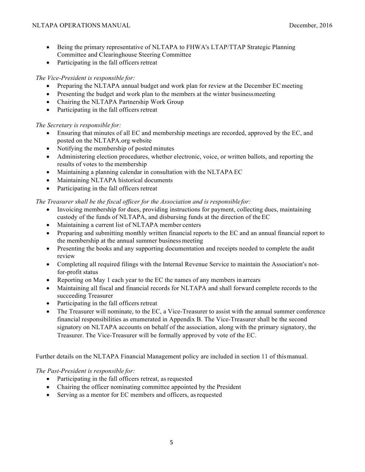- Being the primary representative of NLTAPA to FHWA's LTAP/TTAP Strategic Planning Committee and Clearinghouse Steering Committee
- Participating in the fall officers retreat

*The Vice-President is responsible for:*

- Preparing the NLTAPA annual budget and work plan for review at the December EC meeting
- Presenting the budget and work plan to the members at the winter business meeting
- Chairing the NLTAPA Partnership Work Group
- Participating in the fall officers retreat

*The Secretary is responsible for:*

- Ensuring that minutes of all EC and membership meetings are recorded, approved by the EC, and posted on the NLTAPA.org website
- Notifying the membership of posted minutes
- Administering election procedures, whether electronic, voice, or written ballots, and reporting the results of votes to the membership
- Maintaining a planning calendar in consultation with the NLTAPA EC
- Maintaining NLTAPA historical documents
- Participating in the fall officers retreat

*The Treasurer shall be the fiscal officer for the Association and is responsible for:*

- Invoicing membership for dues, providing instructions for payment, collecting dues, maintaining custody of the funds of NLTAPA, and disbursing funds at the direction of theEC
- Maintaining a current list of NLTAPA member centers
- Preparing and submitting monthly written financial reports to the EC and an annual financial report to the membership at the annual summer business meeting
- Presenting the books and any supporting documentation and receipts needed to complete the audit review
- Completing all required filings with the Internal Revenue Service to maintain the Association's notfor-profit status
- Reporting on May 1 each year to the EC the names of any members in arrears
- Maintaining all fiscal and financial records for NLTAPA and shall forward complete records to the succeeding Treasurer
- Participating in the fall officers retreat
- The Treasurer will nominate, to the EC, a Vice-Treasurer to assist with the annual summer conference financial responsibilities as enumerated in Appendix B. The Vice-Treasurer shall be the second signatory on NLTAPA accounts on behalf of the association, along with the primary signatory, the Treasurer. The Vice-Treasurer will be formally approved by vote of the EC.

Further details on the NLTAPA Financial Management policy are included in section 11 of thismanual.

*The Past-President is responsible for:*

- Participating in the fall officers retreat, as requested
- Chairing the officer nominating committee appointed by the President
- Serving as a mentor for EC members and officers, as requested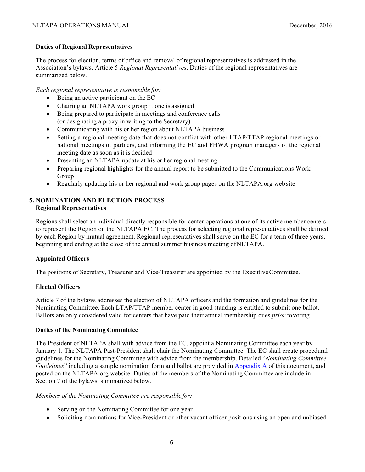#### **Duties of Regional Representatives**

The process for election, terms of office and removal of regional representatives is addressed in the Association's bylaws, Article 5 *Regional Representatives*. Duties of the regional representatives are summarized below.

*Each regional representative is responsible for:*

- Being an active participant on the EC
- Chairing an NLTAPA work group if one is assigned
- Being prepared to participate in meetings and conference calls (or designating a proxy in writing to the Secretary)
- Communicating with his or her region about NLTAPA business
- Setting a regional meeting date that does not conflict with other LTAP/TTAP regional meetings or national meetings of partners, and informing the EC and FHWA program managers of the regional meeting date as soon as it is decided
- Presenting an NLTAPA update at his or her regional meeting
- Preparing regional highlights for the annual report to be submitted to the Communications Work Group
- Regularly updating his or her regional and work group pages on the NLTAPA.org web site

#### **5. NOMINATION AND ELECTION PROCESS Regional Representatives**

Regions shall select an individual directly responsible for center operations at one of its active member centers to represent the Region on the NLTAPA EC. The process for selecting regional representatives shall be defined by each Region by mutual agreement. Regional representatives shall serve on the EC for a term of three years, beginning and ending at the close of the annual summer business meeting ofNLTAPA.

#### **Appointed Officers**

The positions of Secretary, Treasurer and Vice-Treasurer are appointed by the ExecutiveCommittee.

#### **Elected Officers**

Article 7 of the bylaws addresses the election of NLTAPA officers and the formation and guidelines for the Nominating Committee. Each LTAP/TTAP member center in good standing is entitled to submit one ballot. Ballots are only considered valid for centers that have paid their annual membership dues *prior* tovoting.

#### **Duties of the Nominating Committee**

The President of NLTAPA shall with advice from the EC, appoint a Nominating Committee each year by January 1. The NLTAPA Past-President shall chair the Nominating Committee. The EC shall create procedural guidelines for the Nominating Committee with advice from the membership. Detailed "*Nominating Committee Guidelines*" including a sample nomination form and ballot are provided in Appendix A of this document, and posted on the NLTAPA.org website. Duties of the members of the Nominating Committee are include in Section 7 of the bylaws, summarized below.

*Members of the Nominating Committee are responsible for:*

- Serving on the Nominating Committee for one year
- Soliciting nominations for Vice-President or other vacant officer positions using an open and unbiased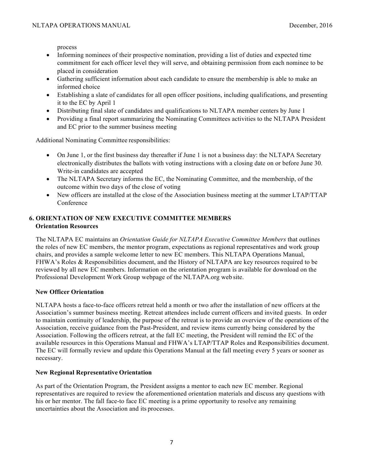process

- Informing nominees of their prospective nomination, providing a list of duties and expected time commitment for each officer level they will serve, and obtaining permission from each nominee to be placed in consideration
- Gathering sufficient information about each candidate to ensure the membership is able to make an informed choice
- Establishing a slate of candidates for all open officer positions, including qualifications, and presenting it to the EC by April 1
- Distributing final slate of candidates and qualifications to NLTAPA member centers by June 1
- Providing a final report summarizing the Nominating Committees activities to the NLTAPA President and EC prior to the summer business meeting

Additional Nominating Committee responsibilities:

- On June 1, or the first business day thereafter if June 1 is not a business day: the NLTAPA Secretary electronically distributes the ballots with voting instructions with a closing date on or before June 30. Write-in candidates are accepted
- The NLTAPA Secretary informs the EC, the Nominating Committee, and the membership, of the outcome within two days of the close of voting
- New officers are installed at the close of the Association business meeting at the summer LTAP/TTAP Conference

#### **6. ORIENTATION OF NEW EXECUTIVE COMMITTEE MEMBERS Orientation Resources**

The NLTAPA EC maintains an *Orientation Guide for NLTAPA Executive Committee Members* that outlines the roles of new EC members, the mentor program, expectations as regional representatives and work group chairs, and provides a sample welcome letter to new EC members. This NLTAPA Operations Manual, FHWA's Roles & Responsibilities document, and the History of NLTAPA are key resources required to be reviewed by all new EC members. Information on the orientation program is available for download on the Professional Development Work Group webpage of the NLTAPA.org web site.

#### **New Officer Orientation**

NLTAPA hosts a face-to-face officers retreat held a month or two after the installation of new officers at the Association's summer business meeting. Retreat attendees include current officers and invited guests. In order to maintain continuity of leadership, the purpose of the retreat is to provide an overview of the operations of the Association, receive guidance from the Past-President, and review items currently being considered by the Association. Following the officers retreat, at the fall EC meeting, the President will remind the EC of the available resources in this Operations Manual and FHWA's LTAP/TTAP Roles and Responsibilities document. The EC will formally review and update this Operations Manual at the fall meeting every 5 years or sooner as necessary.

#### **New Regional Representative Orientation**

As part of the Orientation Program, the President assigns a mentor to each new EC member. Regional representatives are required to review the aforementioned orientation materials and discuss any questions with his or her mentor. The fall face-to face EC meeting is a prime opportunity to resolve any remaining uncertainties about the Association and its processes.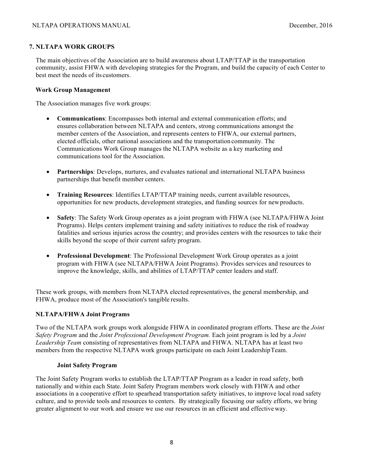#### **7. NLTAPA WORK GROUPS**

The main objectives of the Association are to build awareness about LTAP/TTAP in the transportation community, assist FHWA with developing strategies for the Program, and build the capacity of each Center to best meet the needs of its customers.

#### **Work Group Management**

The Association manages five work groups:

- **Communications**: Encompasses both internal and external communication efforts; and ensures collaboration between NLTAPA and centers, strong communications amongst the member centers of the Association, and represents centers to FHWA, our external partners, elected officials, other national associations and the transportation community. The Communications Work Group manages the NLTAPA website as a key marketing and communications tool for the Association.
- **Partnerships**: Develops, nurtures, and evaluates national and international NLTAPA business partnerships that benefit member centers.
- **Training Resources**: Identifies LTAP/TTAP training needs, current available resources, opportunities for new products, development strategies, and funding sources for newproducts.
- **Safety**: The Safety Work Group operates as a joint program with FHWA (see NLTAPA/FHWA Joint Programs). Helps centers implement training and safety initiatives to reduce the risk of roadway fatalities and serious injuries across the country; and provides centers with the resources to take their skills beyond the scope of their current safety program.
- **Professional Development**: The Professional Development Work Group operates as a joint program with FHWA (see NLTAPA/FHWA Joint Programs). Provides services and resources to improve the knowledge, skills, and abilities of LTAP/TTAP center leaders and staff.

These work groups, with members from NLTAPA elected representatives, the general membership, and FHWA, produce most of the Association's tangible results.

#### **NLTAPA/FHWA Joint Programs**

Two of the NLTAPA work groups work alongside FHWA in coordinated program efforts. These are the *Joint Safety Program* and the *Joint Professional Development Program.* Each joint program is led by a *Joint Leadership Team* consisting of representatives from NLTAPA and FHWA. NLTAPA has at least two members from the respective NLTAPA work groups participate on each Joint LeadershipTeam.

#### **Joint Safety Program**

The Joint Safety Program works to establish the LTAP/TTAP Program as a leader in road safety, both nationally and within each State. Joint Safety Program members work closely with FHWA and other associations in a cooperative effort to spearhead transportation safety initiatives, to improve local road safety culture, and to provide tools and resources to centers. By strategically focusing our safety efforts, we bring greater alignment to our work and ensure we use our resources in an efficient and effective way.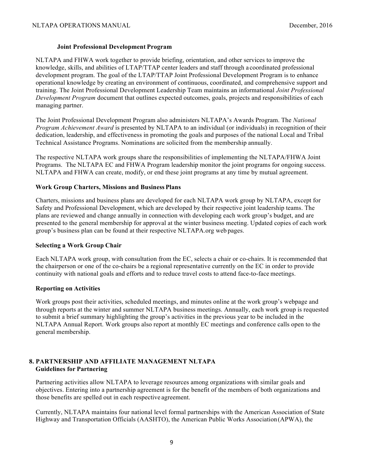#### **Joint Professional Development Program**

NLTAPA and FHWA work together to provide briefing, orientation, and other services to improve the knowledge, skills, and abilities of LTAP/TTAP center leaders and staff through a coordinated professional development program. The goal of the LTAP/TTAP Joint Professional Development Program is to enhance operational knowledge by creating an environment of continuous, coordinated, and comprehensive support and training. The Joint Professional Development Leadership Team maintains an informational *Joint Professional Development Program* document that outlines expected outcomes, goals, projects and responsibilities of each managing partner.

The Joint Professional Development Program also administers NLTAPA's Awards Program. The *National Program Achievement Award* is presented by NLTAPA to an individual (or individuals) in recognition of their dedication, leadership, and effectiveness in promoting the goals and purposes of the national Local and Tribal Technical Assistance Programs. Nominations are solicited from the membership annually.

The respective NLTAPA work groups share the responsibilities of implementing the NLTAPA/FHWA Joint Programs. The NLTAPA EC and FHWA Program leadership monitor the joint programs for ongoing success. NLTAPA and FHWA can create, modify, or end these joint programs at any time by mutual agreement.

#### **Work Group Charters, Missions and Business Plans**

Charters, missions and business plans are developed for each NLTAPA work group by NLTAPA, except for Safety and Professional Development, which are developed by their respective joint leadership teams. The plans are reviewed and change annually in connection with developing each work group's budget, and are presented to the general membership for approval at the winter business meeting. Updated copies of each work group's business plan can be found at their respective NLTAPA.org web pages.

#### **Selecting a Work Group Chair**

Each NLTAPA work group, with consultation from the EC, selects a chair or co-chairs. It is recommended that the chairperson or one of the co-chairs be a regional representative currently on the EC in order to provide continuity with national goals and efforts and to reduce travel costs to attend face-to-face meetings.

#### **Reporting on Activities**

Work groups post their activities, scheduled meetings, and minutes online at the work group's webpage and through reports at the winter and summer NLTAPA business meetings. Annually, each work group is requested to submit a brief summary highlighting the group's activities in the previous year to be included in the NLTAPA Annual Report. Work groups also report at monthly EC meetings and conference calls open to the general membership.

#### **8. PARTNERSHIP AND AFFILIATE MANAGEMENT NLTAPA Guidelines for Partnering**

Partnering activities allow NLTAPA to leverage resources among organizations with similar goals and objectives. Entering into a partnership agreement is for the benefit of the members of both organizations and those benefits are spelled out in each respective agreement.

Currently, NLTAPA maintains four national level formal partnerships with the American Association of State Highway and Transportation Officials (AASHTO), the American Public Works Association(APWA), the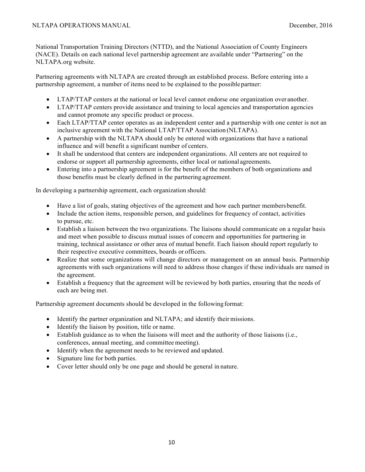National Transportation Training Directors (NTTD), and the National Association of County Engineers (NACE). Details on each national level partnership agreement are available under "Partnering" on the NLTAPA.org website.

Partnering agreements with NLTAPA are created through an established process. Before entering into a partnership agreement, a number of items need to be explained to the possible partner:

- LTAP/TTAP centers at the national or local level cannot endorse one organization over another.
- LTAP/TTAP centers provide assistance and training to local agencies and transportation agencies and cannot promote any specific product or process.
- Each LTAP/TTAP center operates as an independent center and a partnership with one center is not an inclusive agreement with the National LTAP/TTAP Association (NLTAPA).
- A partnership with the NLTAPA should only be entered with organizations that have a national influence and will benefit a significant number of centers.
- It shall be understood that centers are independent organizations. All centers are not required to endorse or support all partnership agreements, either local or national agreements.
- Entering into a partnership agreement is for the benefit of the members of both organizations and those benefits must be clearly defined in the partnering agreement.

In developing a partnership agreement, each organization should:

- Have a list of goals, stating objectives of the agreement and how each partner members benefit.
- Include the action items, responsible person, and guidelines for frequency of contact, activities to pursue, etc.
- Establish a liaison between the two organizations. The liaisons should communicate on a regular basis and meet when possible to discuss mutual issues of concern and opportunities for partnering in training, technical assistance or other area of mutual benefit. Each liaison should report regularly to their respective executive committees, boards or officers.
- Realize that some organizations will change directors or management on an annual basis. Partnership agreements with such organizations will need to address those changes if these individuals are named in the agreement.
- Establish a frequency that the agreement will be reviewed by both parties, ensuring that the needs of each are being met.

Partnership agreement documents should be developed in the following format:

- Identify the partner organization and NLTAPA; and identify their missions.
- Identify the liaison by position, title or name.
- Establish guidance as to when the liaisons will meet and the authority of those liaisons (i.e., conferences, annual meeting, and committee meeting).
- Identify when the agreement needs to be reviewed and updated.
- Signature line for both parties.
- Cover letter should only be one page and should be general in nature.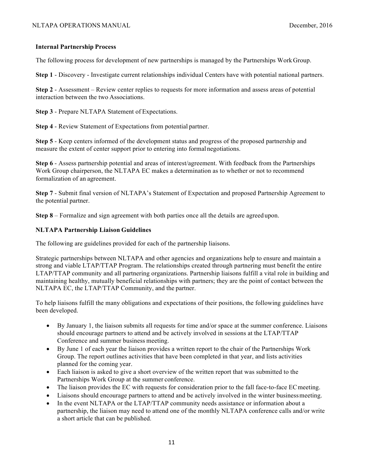#### **Internal Partnership Process**

The following process for development of new partnerships is managed by the Partnerships WorkGroup.

**Step 1** - Discovery - Investigate current relationships individual Centers have with potential national partners.

**Step 2** - Assessment – Review center replies to requests for more information and assess areas of potential interaction between the two Associations.

**Step 3** - Prepare NLTAPA Statement of Expectations.

**Step 4** - Review Statement of Expectations from potential partner.

**Step 5** - Keep centers informed of the development status and progress of the proposed partnership and measure the extent of center support prior to entering into formal negotiations.

**Step 6** - Assess partnership potential and areas of interest/agreement. With feedback from the Partnerships Work Group chairperson, the NLTAPA EC makes a determination as to whether or not to recommend formalization of an agreement.

**Step 7** - Submit final version of NLTAPA's Statement of Expectation and proposed Partnership Agreement to the potential partner.

**Step 8** – Formalize and sign agreement with both parties once all the details are agreed upon.

#### **NLTAPA Partnership Liaison Guidelines**

The following are guidelines provided for each of the partnership liaisons.

Strategic partnerships between NLTAPA and other agencies and organizations help to ensure and maintain a strong and viable LTAP/TTAP Program. The relationships created through partnering must benefit the entire LTAP/TTAP community and all partnering organizations. Partnership liaisons fulfill a vital role in building and maintaining healthy, mutually beneficial relationships with partners; they are the point of contact between the NLTAPA EC, the LTAP/TTAP Community, and the partner.

To help liaisons fulfill the many obligations and expectations of their positions, the following guidelines have been developed.

- By January 1, the liaison submits all requests for time and/or space at the summer conference. Liaisons should encourage partners to attend and be actively involved in sessions at the LTAP/TTAP Conference and summer business meeting.
- By June 1 of each year the liaison provides a written report to the chair of the Partnerships Work Group. The report outlines activities that have been completed in that year, and lists activities planned for the coming year.
- Each liaison is asked to give a short overview of the written report that was submitted to the Partnerships Work Group at the summer conference.
- The liaison provides the EC with requests for consideration prior to the fall face-to-face EC meeting.
- Liaisons should encourage partners to attend and be actively involved in the winter businessmeeting.
- In the event NLTAPA or the LTAP/TTAP community needs assistance or information about a partnership, the liaison may need to attend one of the monthly NLTAPA conference calls and/or write a short article that can be published.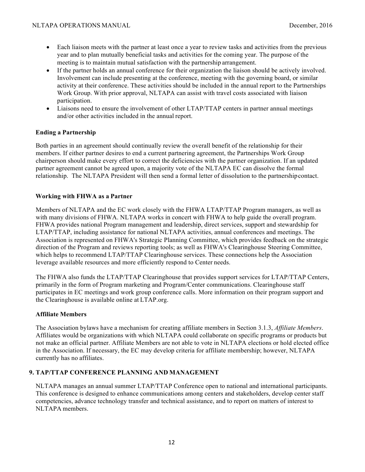- Each liaison meets with the partner at least once a year to review tasks and activities from the previous year and to plan mutually beneficial tasks and activities for the coming year. The purpose of the meeting is to maintain mutual satisfaction with the partnership arrangement.
- If the partner holds an annual conference for their organization the liaison should be actively involved. Involvement can include presenting at the conference, meeting with the governing board, or similar activity at their conference. These activities should be included in the annual report to the Partnerships Work Group. With prior approval, NLTAPA can assist with travel costs associated with liaison participation.
- Liaisons need to ensure the involvement of other LTAP/TTAP centers in partner annual meetings and/or other activities included in the annual report.

#### **Ending a Partnership**

Both parties in an agreement should continually review the overall benefit of the relationship for their members. If either partner desires to end a current partnering agreement, the Partnerships Work Group chairperson should make every effort to correct the deficiencies with the partner organization. If an updated partner agreement cannot be agreed upon, a majority vote of the NLTAPA EC can dissolve the formal relationship. The NLTAPA President will then send a formal letter of dissolution to the partnershipcontact.

#### **Working with FHWA as a Partner**

Members of NLTAPA and the EC work closely with the FHWA LTAP/TTAP Program managers, as well as with many divisions of FHWA. NLTAPA works in concert with FHWA to help guide the overall program. FHWA provides national Program management and leadership, direct services, support and stewardship for LTAP/TTAP, including assistance for national NLTAPA activities, annual conferences and meetings. The Association is represented on FHWA's Strategic Planning Committee, which provides feedback on the strategic direction of the Program and reviews reporting tools; as well as FHWA's Clearinghouse Steering Committee, which helps to recommend LTAP/TTAP Clearinghouse services. These connections help the Association leverage available resources and more efficiently respond to Center needs.

The FHWA also funds the LTAP/TTAP Clearinghouse that provides support services for LTAP/TTAP Centers, primarily in the form of Program marketing and Program/Center communications. Clearinghouse staff participates in EC meetings and work group conference calls. More information on their program support and the Clearinghouse is available online at LTAP.org.

#### **Affiliate Members**

The Association bylaws have a mechanism for creating affiliate members in Section 3.1.3, *Affiliate Members*. Affiliates would be organizations with which NLTAPA could collaborate on specific programs or products but not make an official partner. Affiliate Members are not able to vote in NLTAPA elections or hold elected office in the Association. If necessary, the EC may develop criteria for affiliate membership; however, NLTAPA currently has no affiliates.

#### **9. TAP/TTAP CONFERENCE PLANNING AND MANAGEMENT**

NLTAPA manages an annual summer LTAP/TTAP Conference open to national and international participants. This conference is designed to enhance communications among centers and stakeholders, develop center staff competencies, advance technology transfer and technical assistance, and to report on matters of interest to NLTAPA members.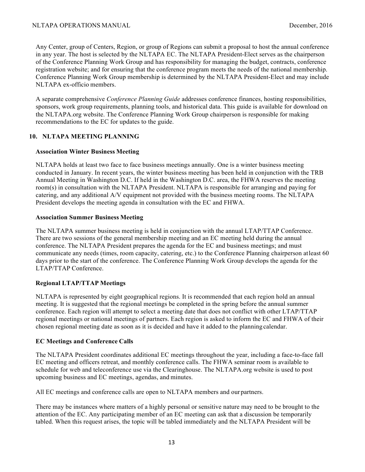Any Center, group of Centers, Region, or group of Regions can submit a proposal to host the annual conference in any year. The host is selected by the NLTAPA EC. The NLTAPA President-Elect serves as the chairperson of the Conference Planning Work Group and has responsibility for managing the budget, contracts, conference registration website; and for ensuring that the conference program meets the needs of the national membership. Conference Planning Work Group membership is determined by the NLTAPA President-Elect and may include NLTAPA ex-officio members.

A separate comprehensive *Conference Planning Guide* addresses conference finances, hosting responsibilities, sponsors, work group requirements, planning tools, and historical data. This guide is available for download on the NLTAPA.org website. The Conference Planning Work Group chairperson is responsible for making recommendations to the EC for updates to the guide.

#### **10. NLTAPA MEETING PLANNING**

#### **Association Winter Business Meeting**

NLTAPA holds at least two face to face business meetings annually. One is a winter business meeting conducted in January. In recent years, the winter business meeting has been held in conjunction with the TRB Annual Meeting in Washington D.C. If held in the Washington D.C. area, the FHWA reserves the meeting room(s) in consultation with the NLTAPA President. NLTAPA is responsible for arranging and paying for catering, and any additional A/V equipment not provided with the business meeting rooms. The NLTAPA President develops the meeting agenda in consultation with the EC and FHWA.

#### **Association Summer Business Meeting**

The NLTAPA summer business meeting is held in conjunction with the annual LTAP/TTAP Conference. There are two sessions of the general membership meeting and an EC meeting held during the annual conference. The NLTAPA President prepares the agenda for the EC and business meetings; and must communicate any needs (times, room capacity, catering, etc.) to the Conference Planning chairperson atleast 60 days prior to the start of the conference. The Conference Planning Work Group develops the agenda for the LTAP/TTAP Conference.

#### **Regional LTAP/TTAP Meetings**

NLTAPA is represented by eight geographical regions. It is recommended that each region hold an annual meeting. It is suggested that the regional meetings be completed in the spring before the annual summer conference. Each region will attempt to select a meeting date that does not conflict with other LTAP/TTAP regional meetings or national meetings of partners. Each region is asked to inform the EC and FHWA of their chosen regional meeting date as soon as it is decided and have it added to the planning calendar.

#### **EC Meetings and Conference Calls**

The NLTAPA President coordinates additional EC meetings throughout the year, including a face-to-face fall EC meeting and officers retreat, and monthly conference calls. The FHWA seminar room is available to schedule for web and teleconference use via the Clearinghouse. The NLTAPA.org website is used to post upcoming business and EC meetings, agendas, and minutes.

All EC meetings and conference calls are open to NLTAPA members and our partners.

There may be instances where matters of a highly personal or sensitive nature may need to be brought to the attention of the EC. Any participating member of an EC meeting can ask that a discussion be temporarily tabled. When this request arises, the topic will be tabled immediately and the NLTAPA President will be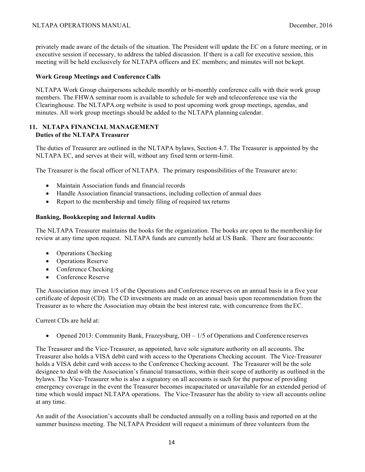privately made aware of the details of the situation. The President will update the EC on a future meeting, or in executive session if necessary, to address the tabled discussion. If there is a call for executive session, this meeting will be held exclusively for NLTAPA officers and EC members; and minutes will not bekept.

#### **Work Group Meetings and Conference Calls**

NLTAPA Work Group chairpersons schedule monthly or bi-monthly conference calls with their work group members. The FHWA seminar room is available to schedule for web and teleconference use via the Clearinghouse. The NLTAPA.org website is used to post upcoming work group meetings, agendas, and minutes. All work group meetings should be added to the NLTAPA planning calendar.

#### **11. NLTAPA FINANCIAL MANAGEMENT Duties of the NLTAPA Treasurer**

The duties of Treasurer are outlined in the NLTAPA bylaws, Section 4.7. The Treasurer is appointed by the NLTAPA EC, and serves at their will, without any fixed term orterm-limit.

The Treasurer is the fiscal officer of NLTAPA. The primary responsibilities of the Treasurer areto:

- Maintain Association funds and financial records
- Handle Association financial transactions, including collection of annual dues
- Report to the membership and timely filing of required tax returns

#### **Banking, Bookkeeping and Internal Audits**

The NLTAPA Treasurer maintains the books for the organization. The books are open to the membership for review at any time upon request. NLTAPA funds are currently held at US Bank. There are four accounts:

- Operations Checking
- Operations Reserve
- Conference Checking
- Conference Reserve

The Association may invest 1/5 of the Operations and Conference reserves on an annual basis in a five year certificate of deposit (CD). The CD investments are made on an annual basis upon recommendation from the Treasurer as to where the Association may obtain the best interest rate, with concurrence from theEC.

Current CDs are held at:

• Opened 2013: Community Bank, Frazeysburg,  $OH - 1/5$  of Operations and Conference reserves

The Treasurer and the Vice-Treasurer, as appointed, have sole signature authority on all accounts. The Treasurer also holds a VISA debit card with access to the Operations Checking account. The Vice-Treasurer holds a VISA debit card with access to the Conference Checking account. The Treasurer will be the sole designee to deal with the Association's financial transactions, within their scope of authority as outlined in the bylaws. The Vice-Treasurer who is also a signatory on all accounts is such for the purpose of providing emergency coverage in the event the Treasurer becomes incapacitated or unavailable for an extended period of time which would impact NLTAPA operations. The Vice-Treasurer has the ability to view all accounts online at any time.

An audit of the Association's accounts shall be conducted annually on a rolling basis and reported on at the summer business meeting. The NLTAPA President will request a minimum of three volunteers from the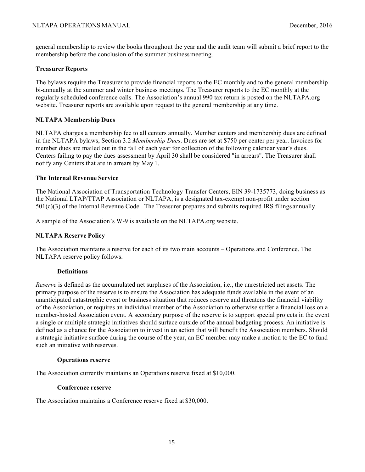general membership to review the books throughout the year and the audit team will submit a brief report to the membership before the conclusion of the summer business meeting.

#### **Treasurer Reports**

The bylaws require the Treasurer to provide financial reports to the EC monthly and to the general membership bi-annually at the summer and winter business meetings. The Treasurer reports to the EC monthly at the regularly scheduled conference calls. The Association's annual 990 tax return is posted on the NLTAPA.org website. Treasurer reports are available upon request to the general membership at any time.

#### **NLTAPA Membership Dues**

NLTAPA charges a membership fee to all centers annually. Member centers and membership dues are defined in the NLTAPA bylaws, Section 3.2 *Membership Dues*. Dues are set at \$750 per center per year. Invoices for member dues are mailed out in the fall of each year for collection of the following calendar year's dues. Centers failing to pay the dues assessment by April 30 shall be considered "in arrears". The Treasurer shall notify any Centers that are in arrears by May 1.

#### **The Internal Revenue Service**

The National Association of Transportation Technology Transfer Centers, EIN 39-1735773, doing business as the National LTAP/TTAP Association or NLTAPA, is a designated tax-exempt non-profit under section 501(c)(3) of the Internal Revenue Code. The Treasurer prepares and submits required IRS filings annually.

A sample of the Association's W-9 is available on the NLTAPA.org website.

#### **NLTAPA Reserve Policy**

The Association maintains a reserve for each of its two main accounts – Operations and Conference. The NLTAPA reserve policy follows.

#### **Definitions**

*Reserve* is defined as the accumulated net surpluses of the Association, i.e., the unrestricted net assets. The primary purpose of the reserve is to ensure the Association has adequate funds available in the event of an unanticipated catastrophic event or business situation that reduces reserve and threatens the financial viability of the Association, or requires an individual member of the Association to otherwise suffer a financial loss on a member-hosted Association event. A secondary purpose of the reserve is to support special projects in the event a single or multiple strategic initiatives should surface outside of the annual budgeting process. An initiative is defined as a chance for the Association to invest in an action that will benefit the Association members. Should a strategic initiative surface during the course of the year, an EC member may make a motion to the EC to fund such an initiative with reserves.

#### **Operations reserve**

The Association currently maintains an Operations reserve fixed at \$10,000.

#### **Conference reserve**

The Association maintains a Conference reserve fixed at \$30,000.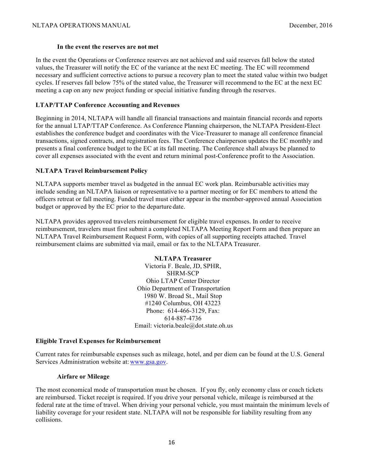#### **In the event the reserves are not met**

In the event the Operations or Conference reserves are not achieved and said reserves fall below the stated values, the Treasurer will notify the EC of the variance at the next EC meeting. The EC will recommend necessary and sufficient corrective actions to pursue a recovery plan to meet the stated value within two budget cycles. If reserves fall below 75% of the stated value, the Treasurer will recommend to the EC at the next EC meeting a cap on any new project funding or special initiative funding through the reserves.

#### **LTAP/TTAP Conference Accounting and Revenues**

Beginning in 2014, NLTAPA will handle all financial transactions and maintain financial records and reports for the annual LTAP/TTAP Conference. As Conference Planning chairperson, the NLTAPA President-Elect establishes the conference budget and coordinates with the Vice-Treasurer to manage all conference financial transactions, signed contracts, and registration fees. The Conference chairperson updates the EC monthly and presents a final conference budget to the EC at its fall meeting. The Conference shall always be planned to cover all expenses associated with the event and return minimal post-Conference profit to the Association.

#### **NLTAPA Travel Reimbursement Policy**

NLTAPA supports member travel as budgeted in the annual EC work plan. Reimbursable activities may include sending an NLTAPA liaison or representative to a partner meeting or for EC members to attend the officers retreat or fall meeting. Funded travel must either appear in the member-approved annual Association budget or approved by the EC prior to the departure date.

NLTAPA provides approved travelers reimbursement for eligible travel expenses. In order to receive reimbursement, travelers must first submit a completed NLTAPA Meeting Report Form and then prepare an NLTAPA Travel Reimbursement Request Form, with copies of all supporting receipts attached. Travel reimbursement claims are submitted via mail, email or fax to the NLTAPA Treasurer.

> **NLTAPA Treasurer**  Victoria F. Beale, JD, SPHR, SHRM-SCP Ohio LTAP Center Director Ohio Department of Transportation 1980 W. Broad St., Mail Stop #1240 Columbus, OH 43223 Phone: 614-466-3129, Fax: 614-887-4736 Email: victoria.beale@dot.state.oh.us

#### **Eligible Travel Expenses for Reimbursement**

Current rates for reimbursable expenses such as mileage, hotel, and per diem can be found at the U.S. General Services Administration website at: www.gsa.gov.

#### **Airfare or Mileage**

The most economical mode of transportation must be chosen. If you fly, only economy class or coach tickets are reimbursed. Ticket receipt is required. If you drive your personal vehicle, mileage is reimbursed at the federal rate at the time of travel. When driving your personal vehicle, you must maintain the minimum levels of liability coverage for your resident state. NLTAPA will not be responsible for liability resulting from any collisions.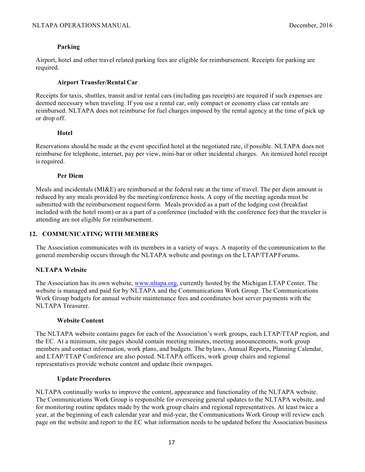#### **Parking**

Airport, hotel and other travel related parking fees are eligible for reimbursement. Receipts for parking are required.

#### **Airport Transfer/Rental Car**

Receipts for taxis, shuttles, transit and/or rental cars (including gas receipts) are required if such expenses are deemed necessary when traveling. If you use a rental car, only compact or economy class car rentals are reimbursed. NLTAPA does not reimburse for fuel charges imposed by the rental agency at the time of pick up or drop off.

#### **Hotel**

Reservations should be made at the event specified hotel at the negotiated rate, if possible. NLTAPA does not reimburse for telephone, internet, pay per view, mini-bar or other incidental charges. An itemized hotel receipt is required.

#### **Per Diem**

Meals and incidentals (MI&E) are reimbursed at the federal rate at the time of travel. The per diem amount is reduced by any meals provided by the meeting/conference hosts. A copy of the meeting agenda must be submitted with the reimbursement request form. Meals provided as a part of the lodging cost (breakfast included with the hotel room) or as a part of a conference (included with the conference fee) that the traveler is attending are not eligible for reimbursement.

#### **12. COMMUNICATING WITH MEMBERS**

The Association communicates with its members in a variety of ways. A majority of the communication to the general membership occurs through the NLTAPA website and postings on the LTAP/TTAPForums.

#### **NLTAPA Website**

The Association has its own website, www.nltapa.org, currently hosted by the Michigan LTAP Center. The website is managed and paid for by NLTAPA and the Communications Work Group. The Communications Work Group budgets for annual website maintenance fees and coordinates host server payments with the NLTAPA Treasurer.

#### **Website Content**

The NLTAPA website contains pages for each of the Association's work groups, each LTAP/TTAP region, and the EC. At a minimum, site pages should contain meeting minutes, meeting announcements, work group members and contact information, work plans, and budgets. The bylaws, Annual Reports, Planning Calendar, and LTAP/TTAP Conference are also posted. NLTAPA officers, work group chairs and regional representatives provide website content and update their ownpages.

#### **Update Procedures**

NLTAPA continually works to improve the content, appearance and functionality of the NLTAPA website. The Communications Work Group is responsible for overseeing general updates to the NLTAPA website, and for monitoring routine updates made by the work group chairs and regional representatives. At least twice a year, at the beginning of each calendar year and mid-year, the Communications Work Group will review each page on the website and report to the EC what information needs to be updated before the Association business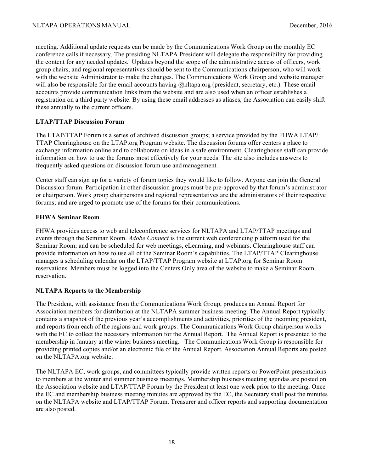meeting. Additional update requests can be made by the Communications Work Group on the monthly EC conference calls if necessary. The presiding NLTAPA President will delegate the responsibility for providing the content for any needed updates. Updates beyond the scope of the administrative access of officers, work group chairs, and regional representatives should be sent to the Communications chairperson, who will work with the website Administrator to make the changes. The Communications Work Group and website manager will also be responsible for the email accounts having @nltapa.org (president, secretary, etc.). These email accounts provide communication links from the website and are also used when an officer establishes a registration on a third party website. By using these email addresses as aliases, the Association can easily shift these annually to the current officers.

#### **LTAP/TTAP Discussion Forum**

The LTAP/TTAP Forum is a series of archived discussion groups; a service provided by the FHWA LTAP/ TTAP Clearinghouse on the LTAP.org Program website. The discussion forums offer centers a place to exchange information online and to collaborate on ideas in a safe environment. Clearinghouse staff can provide information on how to use the forums most effectively for your needs. The site also includes answers to frequently asked questions on discussion forum use and management.

Center staff can sign up for a variety of forum topics they would like to follow. Anyone can join the General Discussion forum. Participation in other discussion groups must be pre-approved by that forum's administrator or chairperson. Work group chairpersons and regional representatives are the administrators of their respective forums; and are urged to promote use of the forums for their communications.

#### **FHWA Seminar Room**

FHWA provides access to web and teleconference services for NLTAPA and LTAP/TTAP meetings and events through the Seminar Room. *Adobe Connect* is the current web conferencing platform used for the Seminar Room; and can be scheduled for web meetings, eLearning, and webinars. Clearinghouse staff can provide information on how to use all of the Seminar Room's capabilities. The LTAP/TTAP Clearinghouse manages a scheduling calendar on the LTAP/TTAP Program website at LTAP.org for Seminar Room reservations. Members must be logged into the Centers Only area of the website to make a Seminar Room reservation.

#### **NLTAPA Reports to the Membership**

The President, with assistance from the Communications Work Group, produces an Annual Report for Association members for distribution at the NLTAPA summer business meeting. The Annual Report typically contains a snapshot of the previous year's accomplishments and activities, priorities of the incoming president, and reports from each of the regions and work groups. The Communications Work Group chairperson works with the EC to collect the necessary information for the Annual Report. The Annual Report is presented to the membership in January at the winter business meeting. The Communications Work Group is responsible for providing printed copies and/or an electronic file of the Annual Report. Association Annual Reports are posted on the NLTAPA.org website.

The NLTAPA EC, work groups, and committees typically provide written reports or PowerPoint presentations to members at the winter and summer business meetings. Membership business meeting agendas are posted on the Association website and LTAP/TTAP Forum by the President at least one week prior to the meeting. Once the EC and membership business meeting minutes are approved by the EC, the Secretary shall post the minutes on the NLTAPA website and LTAP/TTAP Forum. Treasurer and officer reports and supporting documentation are also posted.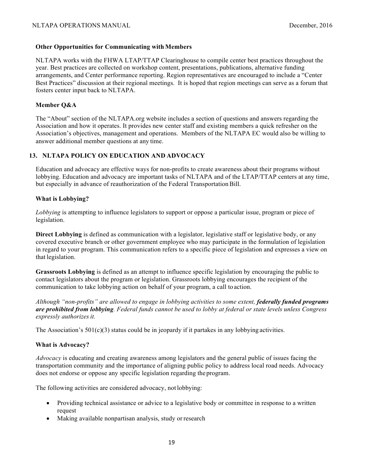#### **Other Opportunities for Communicating with Members**

NLTAPA works with the FHWA LTAP/TTAP Clearinghouse to compile center best practices throughout the year. Best practices are collected on workshop content, presentations, publications, alternative funding arrangements, and Center performance reporting. Region representatives are encouraged to include a "Center Best Practices" discussion at their regional meetings. It is hoped that region meetings can serve as a forum that fosters center input back to NLTAPA.

#### **Member Q&A**

The "About" section of the NLTAPA.org website includes a section of questions and answers regarding the Association and how it operates. It provides new center staff and existing members a quick refresher on the Association's objectives, management and operations. Members of the NLTAPA EC would also be willing to answer additional member questions at any time.

#### **13. NLTAPA POLICY ON EDUCATION AND ADVOCACY**

Education and advocacy are effective ways for non-profits to create awareness about their programs without lobbying. Education and advocacy are important tasks of NLTAPA and of the LTAP/TTAP centers at any time, but especially in advance of reauthorization of the Federal Transportation Bill.

#### **What is Lobbying?**

*Lobbying* is attempting to influence legislators to support or oppose a particular issue, program or piece of legislation.

**Direct Lobbying** is defined as communication with a legislator, legislative staff or legislative body, or any covered executive branch or other government employee who may participate in the formulation of legislation in regard to your program. This communication refers to a specific piece of legislation and expresses a view on that legislation.

**Grassroots Lobbying** is defined as an attempt to influence specific legislation by encouraging the public to contact legislators about the program or legislation. Grassroots lobbying encourages the recipient of the communication to take lobbying action on behalf of your program, a call to action.

*Although "non-profits" are allowed to engage in lobbying activities to some extent, federally funded programs are prohibited from lobbying. Federal funds cannot be used to lobby at federal or state levels unless Congress expressly authorizes it.*

The Association's  $501(c)(3)$  status could be in jeopardy if it partakes in any lobbying activities.

#### **What is Advocacy?**

*Advocacy* is educating and creating awareness among legislators and the general public of issues facing the transportation community and the importance of aligning public policy to address local road needs. Advocacy does not endorse or oppose any specific legislation regarding theprogram.

The following activities are considered advocacy, not lobbying:

- Providing technical assistance or advice to a legislative body or committee in response to a written request
- Making available nonpartisan analysis, study or research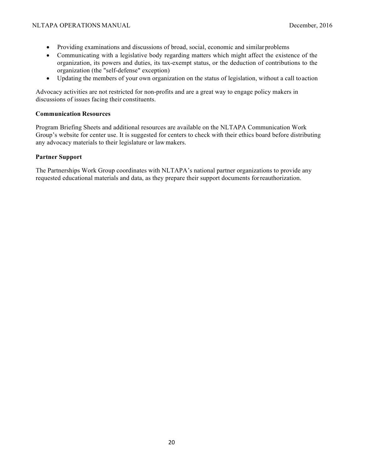- Providing examinations and discussions of broad, social, economic and similar problems
- Communicating with a legislative body regarding matters which might affect the existence of the organization, its powers and duties, its tax-exempt status, or the deduction of contributions to the organization (the "self-defense" exception)
- Updating the members of your own organization on the status of legislation, without a call to action

Advocacy activities are not restricted for non-profits and are a great way to engage policy makers in discussions of issues facing their constituents.

#### **Communication Resources**

Program Briefing Sheets and additional resources are available on the NLTAPA Communication Work Group's website for center use. It is suggested for centers to check with their ethics board before distributing any advocacy materials to their legislature or lawmakers.

#### **Partner Support**

The Partnerships Work Group coordinates with NLTAPA's national partner organizations to provide any requested educational materials and data, as they prepare their support documents forreauthorization.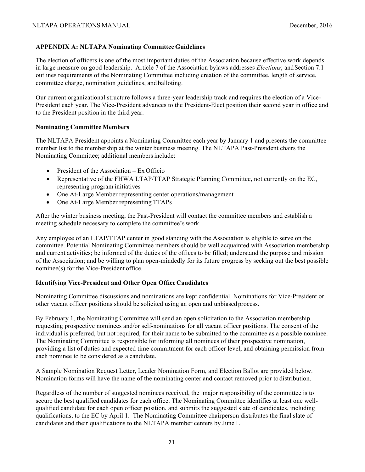#### **APPENDIX A: NLTAPA Nominating Committee Guidelines**

The election of officers is one of the most important duties of the Association because effective work depends in large measure on good leadership. Article 7 of the Association bylaws addresses *Elections*; and Section 7.1 outlines requirements of the Nominating Committee including creation of the committee, length of service, committee charge, nomination guidelines, and balloting.

Our current organizational structure follows a three-year leadership track and requires the election of a Vice-President each year. The Vice-President advances to the President-Elect position their second year in office and to the President position in the third year.

#### **Nominating Committee Members**

The NLTAPA President appoints a Nominating Committee each year by January 1 and presents the committee member list to the membership at the winter business meeting. The NLTAPA Past-President chairs the Nominating Committee; additional membersinclude:

- President of the Association Ex Officio
- Representative of the FHWA LTAP/TTAP Strategic Planning Committee, not currently on the EC, representing program initiatives
- One At-Large Member representing center operations/management
- One At-Large Member representing TTAPs

After the winter business meeting, the Past-President will contact the committee members and establish a meeting schedule necessary to complete the committee's work.

Any employee of an LTAP/TTAP center in good standing with the Association is eligible to serve on the committee. Potential Nominating Committee members should be well acquainted with Association membership and current activities; be informed of the duties of the offices to be filled; understand the purpose and mission of the Association; and be willing to plan open-mindedly for its future progress by seeking out the best possible nominee(s) for the Vice-President office.

#### **Identifying Vice-President and Other Open Office Candidates**

Nominating Committee discussions and nominations are kept confidential. Nominations for Vice-President or other vacant officer positions should be solicited using an open and unbiased process.

By February 1, the Nominating Committee will send an open solicitation to the Association membership requesting prospective nominees and/or self-nominations for all vacant officer positions. The consent of the individual is preferred, but not required, for their name to be submitted to the committee as a possible nominee. The Nominating Committee is responsible for informing all nominees of their prospective nomination, providing a list of duties and expected time commitment for each officer level, and obtaining permission from each nominee to be considered as a candidate.

A Sample Nomination Request Letter, Leader Nomination Form, and Election Ballot are provided below. Nomination forms will have the name of the nominating center and contact removed prior to distribution.

Regardless of the number of suggested nominees received, the major responsibility of the committee is to secure the best qualified candidates for each office. The Nominating Committee identifies at least one wellqualified candidate for each open officer position, and submits the suggested slate of candidates, including qualifications, to the EC by April 1. The Nominating Committee chairperson distributes the final slate of candidates and their qualifications to the NLTAPA member centers by June 1.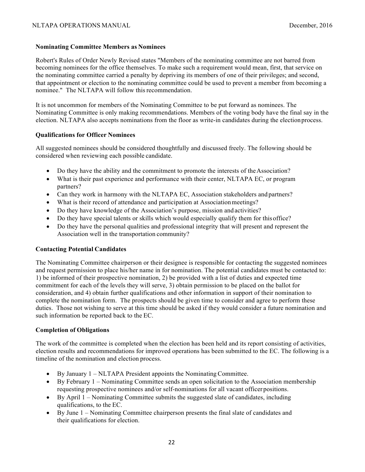#### **Nominating Committee Members as Nominees**

Robert's Rules of Order Newly Revised states "Members of the nominating committee are not barred from becoming nominees for the office themselves. To make such a requirement would mean, first, that service on the nominating committee carried a penalty by depriving its members of one of their privileges; and second, that appointment or election to the nominating committee could be used to prevent a member from becoming a nominee." The NLTAPA will follow this recommendation.

It is not uncommon for members of the Nominating Committee to be put forward as nominees. The Nominating Committee is only making recommendations. Members of the voting body have the final say in the election. NLTAPA also accepts nominations from the floor as write-in candidates during the electionprocess.

#### **Qualifications for Officer Nominees**

All suggested nominees should be considered thoughtfully and discussed freely. The following should be considered when reviewing each possible candidate.

- Do they have the ability and the commitment to promote the interests of the Association?
- What is their past experience and performance with their center, NLTAPA EC, or program partners?
- Can they work in harmony with the NLTAPA EC, Association stakeholders and partners?
- What is their record of attendance and participation at Association meetings?
- Do they have knowledge of the Association's purpose, mission and activities?
- Do they have special talents or skills which would especially qualify them for thisoffice?
- Do they have the personal qualities and professional integrity that will present and represent the Association well in the transportation community?

#### **Contacting Potential Candidates**

The Nominating Committee chairperson or their designee is responsible for contacting the suggested nominees and request permission to place his/her name in for nomination. The potential candidates must be contacted to: 1) be informed of their prospective nomination, 2) be provided with a list of duties and expected time commitment for each of the levels they will serve, 3) obtain permission to be placed on the ballot for consideration, and 4) obtain further qualifications and other information in support of their nomination to complete the nomination form. The prospects should be given time to consider and agree to perform these duties. Those not wishing to serve at this time should be asked if they would consider a future nomination and such information be reported back to the EC.

#### **Completion of Obligations**

The work of the committee is completed when the election has been held and its report consisting of activities, election results and recommendations for improved operations has been submitted to the EC. The following is a timeline of the nomination and election process.

- By January 1 NLTAPA President appoints the Nominating Committee.
- By February 1 Nominating Committee sends an open solicitation to the Association membership requesting prospective nominees and/or self-nominations for all vacant officer positions.
- By April  $1$  Nominating Committee submits the suggested slate of candidates, including qualifications, to the EC.
- By June 1 Nominating Committee chairperson presents the final slate of candidates and their qualifications for election.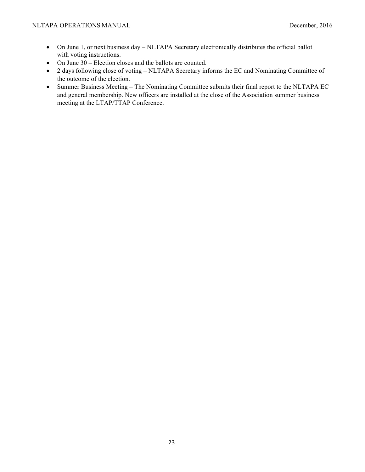- On June 1, or next business day NLTAPA Secretary electronically distributes the official ballot with voting instructions.
- On June 30 Election closes and the ballots are counted.
- 2 days following close of voting NLTAPA Secretary informs the EC and Nominating Committee of the outcome of the election.
- Summer Business Meeting The Nominating Committee submits their final report to the NLTAPA EC and general membership. New officers are installed at the close of the Association summer business meeting at the LTAP/TTAP Conference.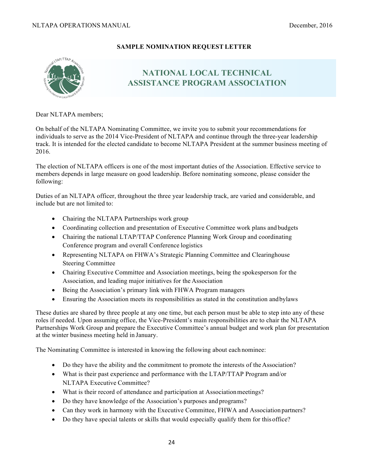#### **SAMPLE NOMINATION REQUEST LETTER**



### **NATIONAL LOCAL TECHNICAL ASSISTANCE PROGRAM ASSOCIATION**

Dear NLTAPA members;

On behalf of the NLTAPA Nominating Committee, we invite you to submit your recommendations for individuals to serve as the 2014 Vice-President of NLTAPA and continue through the three-year leadership track. It is intended for the elected candidate to become NLTAPA President at the summer business meeting of 2016.

The election of NLTAPA officers is one of the most important duties of the Association. Effective service to members depends in large measure on good leadership. Before nominating someone, please consider the following:

Duties of an NLTAPA officer, throughout the three year leadership track, are varied and considerable, and include but are not limited to:

- Chairing the NLTAPA Partnerships work group
- Coordinating collection and presentation of Executive Committee work plans and budgets
- Chairing the national LTAP/TTAP Conference Planning Work Group and coordinating Conference program and overall Conference logistics
- Representing NLTAPA on FHWA's Strategic Planning Committee and Clearinghouse Steering Committee
- Chairing Executive Committee and Association meetings, being the spokesperson for the Association, and leading major initiatives for the Association
- Being the Association's primary link with FHWA Program managers
- Ensuring the Association meets its responsibilities as stated in the constitution and by laws

These duties are shared by three people at any one time, but each person must be able to step into any of these roles if needed. Upon assuming office, the Vice-President's main responsibilities are to chair the NLTAPA Partnerships Work Group and prepare the Executive Committee's annual budget and work plan for presentation at the winter business meeting held in January.

The Nominating Committee is interested in knowing the following about each nominee:

- Do they have the ability and the commitment to promote the interests of the Association?
- What is their past experience and performance with the LTAP/TTAP Program and/or NLTAPA Executive Committee?
- What is their record of attendance and participation at Association meetings?
- Do they have knowledge of the Association's purposes and programs?
- Can they work in harmony with the Executive Committee, FHWA and Association partners?
- Do they have special talents or skills that would especially qualify them for this office?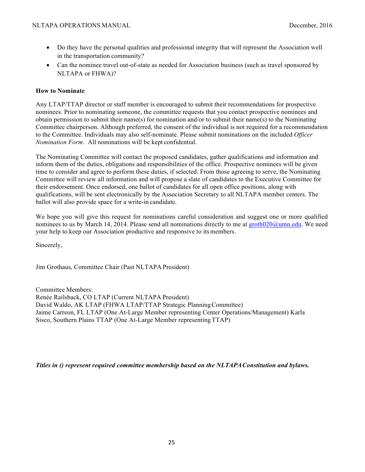- Do they have the personal qualities and professional integrity that will represent the Association well in the transportation community?
- Can the nominee travel out-of-state as needed for Association business (such as travel sponsored by NLTAPA or FHWA)?

#### **How to Nominate**

Any LTAP/TTAP director or staff member is encouraged to submit their recommendations for prospective nominees. Prior to nominating someone, the committee requests that you contact prospective nominees and obtain permission to submit their name(s) for nomination and/or to submit their name(s) to the Nominating Committee chairperson. Although preferred, the consent of the individual is not required for a recommendation to the Committee. Individuals may also self-nominate. Please submit nominations on the included *Officer Nomination Form*. All nominations will be kept confidential.

The Nominating Committee will contact the proposed candidates, gather qualifications and information and inform them of the duties, obligations and responsibilities of the office. Prospective nominees will be given time to consider and agree to perform these duties, if selected. From those agreeing to serve, the Nominating Committee will review all information and will propose a slate of candidates to the Executive Committee for their endorsement. Once endorsed, one ballot of candidates for all open office positions, along with qualifications, will be sent electronically by the Association Secretary to all NLTAPA member centers. The ballot will also provide space for a write-in candidate.

We hope you will give this request for nominations careful consideration and suggest one or more qualified nominees to us by March 14, 2014. Please send all nominations directly to me at  $\frac{\text{growth020}}{\text{g} \cdot \text{umn}}$ . We need your help to keep our Association productive and responsive to itsmembers.

Sincerely,

Jim Grothaus, Committee Chair (Past NLTAPA President)

Committee Members: Renée Railsback, CO LTAP (Current NLTAPA President) David Waldo, AK LTAP (FHWA LTAP/TTAP Strategic PlanningCommittee) Jaime Carreon, FL LTAP (One At-Large Member representing Center Operations/Management) Karla Sisco, Southern Plains TTAP (One At-Large Member representingTTAP)

*Titles in () represent required committee membership based on the NLTAPAConstitution and bylaws.*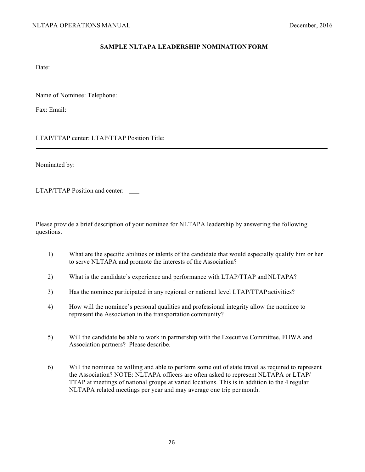#### **SAMPLE NLTAPA LEADERSHIP NOMINATION FORM**

Date:

Name of Nominee: Telephone:

Fax: Email:

LTAP/TTAP center: LTAP/TTAP Position Title:

Nominated by:

LTAP/TTAP Position and center:

Please provide a brief description of your nominee for NLTAPA leadership by answering the following questions.

- 1) What are the specific abilities or talents of the candidate that would especially qualify him or her to serve NLTAPA and promote the interests of the Association?
- 2) What is the candidate's experience and performance with LTAP/TTAP and NLTAPA?
- 3) Has the nominee participated in any regional or national level LTAP/TTAP activities?
- 4) How will the nominee's personal qualities and professional integrity allow the nominee to represent the Association in the transportation community?
- 5) Will the candidate be able to work in partnership with the Executive Committee, FHWA and Association partners? Please describe.
- 6) Will the nominee be willing and able to perform some out of state travel as required to represent the Association? NOTE: NLTAPA officers are often asked to represent NLTAPA or LTAP/ TTAP at meetings of national groups at varied locations. This is in addition to the 4 regular NLTAPA related meetings per year and may average one trip permonth.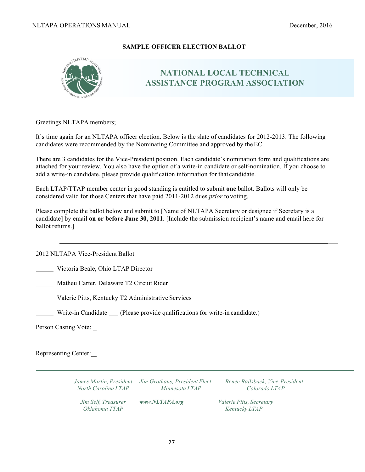#### **SAMPLE OFFICER ELECTION BALLOT**



### **NATIONAL LOCAL TECHNICAL ASSISTANCE PROGRAM ASSOCIATION**

Greetings NLTAPA members;

It's time again for an NLTAPA officer election. Below is the slate of candidates for 2012-2013. The following candidates were recommended by the Nominating Committee and approved by theEC.

There are 3 candidates for the Vice-President position. Each candidate's nomination form and qualifications are attached for your review. You also have the option of a write-in candidate or self-nomination. If you choose to add a write-in candidate, please provide qualification information for that candidate.

Each LTAP/TTAP member center in good standing is entitled to submit **one** ballot. Ballots will only be considered valid for those Centers that have paid 2011-2012 dues *prior* tovoting.

Please complete the ballot below and submit to [Name of NLTAPA Secretary or designee if Secretary is a candidate] by email **on or before June 30, 2011**. [Include the submission recipient's name and email here for ballot returns.]

2012 NLTAPA Vice-President Ballot

Victoria Beale, Ohio LTAP Director

Matheu Carter, Delaware T2 Circuit Rider

Valerie Pitts, Kentucky T2 Administrative Services

Write-in Candidate (Please provide qualifications for write-in candidate.)

Person Casting Vote:

Representing Center:

*James Martin, President Jim Grothaus, President Elect Renee Railsback, Vice-President North Carolina LTAP Minnesota LTAP Colorado LTAP Jim Self, Treasurer www.NLTAPA.org Valerie Pitts, Secretary Oklahoma TTAP Kentucky LTAP*